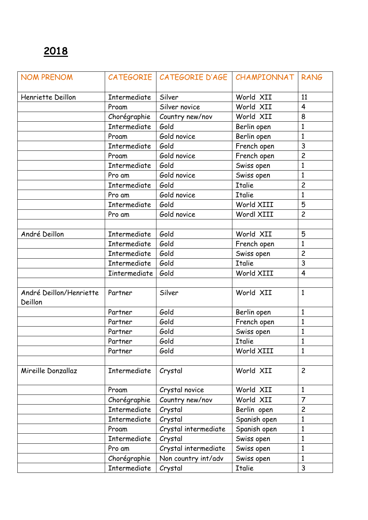| <b>NOM PRENOM</b>                  |                     | CATEGORIE   CATEGORIE D'AGE   CHAMPIONNAT |               | RANG           |
|------------------------------------|---------------------|-------------------------------------------|---------------|----------------|
| Henriette Deillon                  | Intermediate        | Silver                                    | World XII     | 11             |
|                                    | Proam               | Silver novice                             | World XII     | $\overline{4}$ |
|                                    | Chorégraphie        | Country new/nov                           | World XII     | 8              |
|                                    | Intermediate        | Gold                                      | Berlin open   | $\mathbf{1}$   |
|                                    | Proam               | Gold novice                               | Berlin open   | $\mathbf{1}$   |
|                                    | <b>Intermediate</b> | Gold                                      | French open   | 3              |
|                                    | Proam               | Gold novice                               | French open   | $\overline{c}$ |
|                                    | <b>Intermediate</b> | Gold                                      | Swiss open    | $\mathbf{1}$   |
|                                    | Pro am              | Gold novice                               | Swiss open    | $\mathbf{1}$   |
|                                    | Intermediate        | Gold                                      | <b>Italie</b> | $\overline{c}$ |
|                                    | Pro am              | Gold novice                               | <b>Italie</b> | $\mathbf{1}$   |
|                                    | Intermediate        | Gold                                      | World XIII    | 5              |
|                                    | Pro am              | Gold novice                               | Wordl XIII    | $\overline{c}$ |
|                                    |                     |                                           |               |                |
| André Deillon                      | Intermediate        | Gold                                      | World XII     | 5              |
|                                    | Intermediate        | Gold                                      | French open   | $\mathbf{1}$   |
|                                    | Intermediate        | Gold                                      | Swiss open    | $\overline{c}$ |
|                                    | Intermediate        | Gold                                      | <b>Italie</b> | 3              |
|                                    | <b>Intermediate</b> | Gold                                      | World XIII    | 4              |
|                                    |                     |                                           |               |                |
| André Deillon/Henriette<br>Deillon | Partner             | Silver                                    | World XII     | $\mathbf{1}$   |
|                                    | Partner             | Gold                                      | Berlin open   | $\mathbf{1}$   |
|                                    | Partner             | Gold                                      | French open   | $\mathbf{1}$   |
|                                    | Partner             | Gold                                      | Swiss open    | 1              |
|                                    | Partner             | Gold                                      | <b>Italie</b> | $\mathbf{1}$   |
|                                    | Partner             | Gold                                      | World XIII    | $\mathbf{1}$   |
|                                    |                     |                                           |               |                |
| Mireille Donzallaz                 | Intermediate        | Crystal                                   | World XII     | $\overline{c}$ |
|                                    | Proam               | Crystal novice                            | World XII     | $\mathbf{1}$   |
|                                    | Chorégraphie        | Country new/nov                           | World XII     | $\overline{7}$ |
|                                    | Intermediate        | Crystal                                   | Berlin open   | $\overline{c}$ |
|                                    | Intermediate        | Crystal                                   | Spanish open  | $\mathbf{1}$   |
|                                    | Proam               | Crystal intermediate                      | Spanish open  | $\mathbf{1}$   |
|                                    | <b>Intermediate</b> | Crystal                                   | Swiss open    | $\mathbf{1}$   |
|                                    | Pro am              | Crystal intermediate                      | Swiss open    | $\mathbf{1}$   |
|                                    | Chorégraphie        | Non country int/adv                       | Swiss open    | $\mathbf{1}$   |
|                                    | Intermediate        | Crystal                                   | <b>Italie</b> | $\mathsf{3}$   |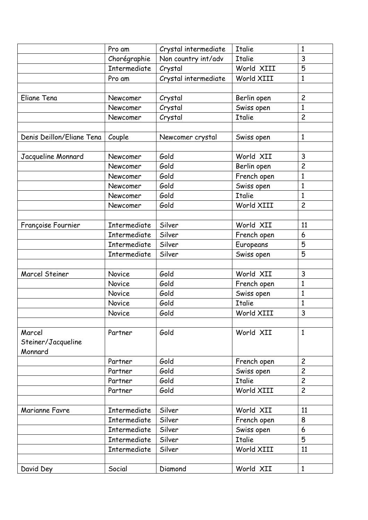|                           | Pro am              | Crystal intermediate | <b>Italie</b> | $\mathbf{1}$   |
|---------------------------|---------------------|----------------------|---------------|----------------|
|                           | Chorégraphie        | Non country int/adv  | <b>Italie</b> | 3              |
|                           | Intermediate        | Crystal              | World XIII    | 5              |
|                           | Pro am              | Crystal intermediate | World XIII    | $\mathbf{1}$   |
|                           |                     |                      |               |                |
| Eliane Tena               | Newcomer            | Crystal              | Berlin open   | $\overline{c}$ |
|                           | Newcomer            | Crystal              | Swiss open    | $\mathbf{1}$   |
|                           | Newcomer            | Crystal              | <b>Italie</b> | $\overline{c}$ |
|                           |                     |                      |               |                |
| Denis Deillon/Eliane Tena | Couple              | Newcomer crystal     | Swiss open    | $\mathbf{1}$   |
|                           |                     |                      |               |                |
| Jacqueline Monnard        | Newcomer            | Gold                 | World XII     | 3              |
|                           | Newcomer            | Gold                 | Berlin open   | $\overline{c}$ |
|                           | Newcomer            | Gold                 | French open   | $\mathbf{1}$   |
|                           | Newcomer            | Gold                 | Swiss open    | $\mathbf{1}$   |
|                           | Newcomer            | Gold                 | <b>Italie</b> | $\mathbf{1}$   |
|                           | Newcomer            | Gold                 | World XIII    | $\overline{c}$ |
|                           |                     |                      |               |                |
| Françoise Fournier        | <b>Intermediate</b> | Silver               | World XII     | 11             |
|                           | <b>Intermediate</b> | Silver               | French open   | 6              |
|                           | Intermediate        | Silver               | Europeans     | 5              |
|                           | Intermediate        | Silver               | Swiss open    | 5              |
|                           |                     |                      |               |                |
| <b>Marcel Steiner</b>     | Novice              | Gold                 | World XII     | 3              |
|                           | Novice              | Gold                 | French open   | $\mathbf{1}$   |
|                           | Novice              | Gold                 | Swiss open    | $\mathbf{1}$   |
|                           | Novice              | Gold                 | <b>Italie</b> | $\mathbf{1}$   |
|                           | Novice              | Gold                 | World XIII    | 3              |
|                           |                     |                      |               |                |
| Marcel                    | Partner             | Gold                 | World XII     | $\mathbf{1}$   |
| Steiner/Jacqueline        |                     |                      |               |                |
| Monnard                   |                     |                      |               |                |
|                           | Partner             | Gold                 | French open   | $\overline{c}$ |
|                           | Partner             | Gold                 | Swiss open    | $\overline{c}$ |
|                           | Partner             | Gold                 | <b>Italie</b> | $\overline{c}$ |
|                           | Partner             | Gold                 | World XIII    | $\overline{c}$ |
|                           |                     |                      |               |                |
| Marianne Favre            | <b>Intermediate</b> | Silver               | World XII     | 11             |
|                           | Intermediate        | Silver               | French open   | 8              |
|                           | Intermediate        | Silver               | Swiss open    | 6              |
|                           | Intermediate        | Silver               | <b>Italie</b> | 5              |
|                           | Intermediate        | Silver               | World XIII    | 11             |
|                           |                     |                      |               |                |
| David Dey                 | Social              | Diamond              | World XII     | $\mathbf{1}$   |